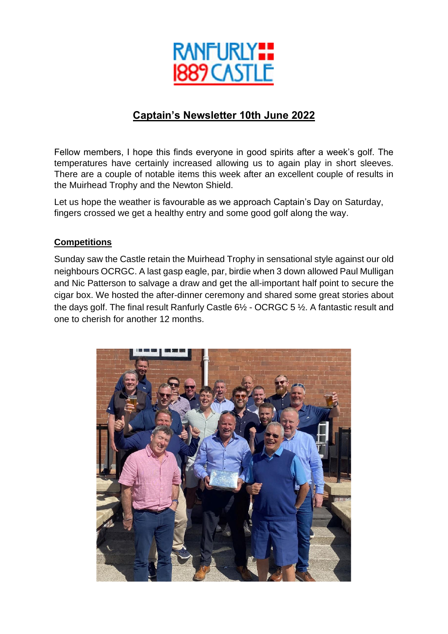

# **Captain's Newsletter 10th June 2022**

Fellow members, I hope this finds everyone in good spirits after a week's golf. The temperatures have certainly increased allowing us to again play in short sleeves. There are a couple of notable items this week after an excellent couple of results in the Muirhead Trophy and the Newton Shield.

Let us hope the weather is favourable as we approach Captain's Day on Saturday, fingers crossed we get a healthy entry and some good golf along the way.

### **Competitions**

Sunday saw the Castle retain the Muirhead Trophy in sensational style against our old neighbours OCRGC. A last gasp eagle, par, birdie when 3 down allowed Paul Mulligan and Nic Patterson to salvage a draw and get the all-important half point to secure the cigar box. We hosted the after-dinner ceremony and shared some great stories about the days golf. The final result Ranfurly Castle 6½ - OCRGC 5 ½. A fantastic result and one to cherish for another 12 months.

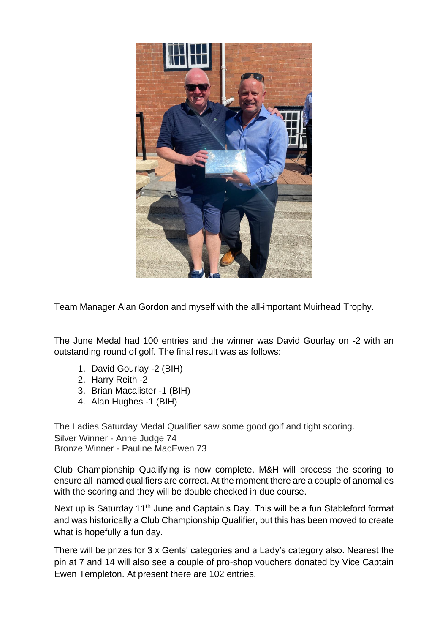

Team Manager Alan Gordon and myself with the all-important Muirhead Trophy.

The June Medal had 100 entries and the winner was David Gourlay on -2 with an outstanding round of golf. The final result was as follows:

- 1. David Gourlay -2 (BIH)
- 2. Harry Reith -2
- 3. Brian Macalister -1 (BIH)
- 4. Alan Hughes -1 (BIH)

The Ladies Saturday Medal Qualifier saw some good golf and tight scoring. Silver Winner - Anne Judge 74 Bronze Winner - Pauline MacEwen 73

Club Championship Qualifying is now complete. M&H will process the scoring to ensure all named qualifiers are correct. At the moment there are a couple of anomalies with the scoring and they will be double checked in due course.

Next up is Saturday 11<sup>th</sup> June and Captain's Day. This will be a fun Stableford format and was historically a Club Championship Qualifier, but this has been moved to create what is hopefully a fun day.

There will be prizes for 3 x Gents' categories and a Lady's category also. Nearest the pin at 7 and 14 will also see a couple of pro-shop vouchers donated by Vice Captain Ewen Templeton. At present there are 102 entries.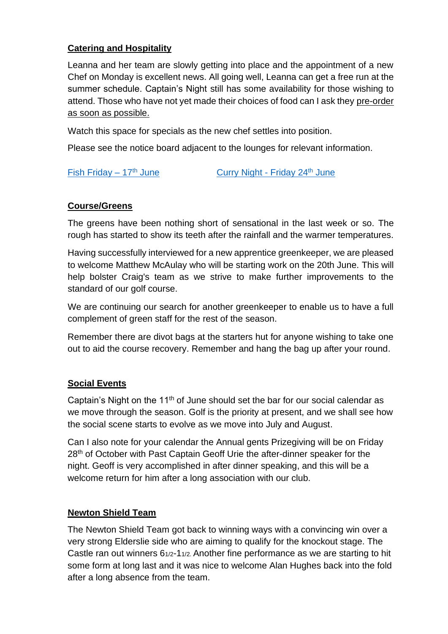## **Catering and Hospitality**

Leanna and her team are slowly getting into place and the appointment of a new Chef on Monday is excellent news. All going well, Leanna can get a free run at the summer schedule. Captain's Night still has some availability for those wishing to attend. Those who have not yet made their choices of food can I ask they pre-order as soon as possible.

Watch this space for specials as the new chef settles into position.

Please see the notice board adjacent to the lounges for relevant information.

[Fish Friday –](https://www.ranfurlycastlegolfclub.co.uk/uploads/document/fish-friday-170622.pdf)  $17<sup>th</sup>$  June [Curry Night -](https://www.ranfurlycastlegolfclub.co.uk/uploads/document/curry-night-240622.pdf) Friday  $24<sup>th</sup>$  June

### **Course/Greens**

The greens have been nothing short of sensational in the last week or so. The rough has started to show its teeth after the rainfall and the warmer temperatures.

Having successfully interviewed for a new apprentice greenkeeper, we are pleased to welcome Matthew McAulay who will be starting work on the 20th June. This will help bolster Craig's team as we strive to make further improvements to the standard of our golf course.

We are continuing our search for another greenkeeper to enable us to have a full complement of green staff for the rest of the season.

Remember there are divot bags at the starters hut for anyone wishing to take one out to aid the course recovery. Remember and hang the bag up after your round.

### **Social Events**

Captain's Night on the 11th of June should set the bar for our social calendar as we move through the season. Golf is the priority at present, and we shall see how the social scene starts to evolve as we move into July and August.

Can I also note for your calendar the Annual gents Prizegiving will be on Friday 28<sup>th</sup> of October with Past Captain Geoff Urie the after-dinner speaker for the night. Geoff is very accomplished in after dinner speaking, and this will be a welcome return for him after a long association with our club.

### **Newton Shield Team**

The Newton Shield Team got back to winning ways with a convincing win over a very strong Elderslie side who are aiming to qualify for the knockout stage. The Castle ran out winners 61/2-11/2. Another fine performance as we are starting to hit some form at long last and it was nice to welcome Alan Hughes back into the fold after a long absence from the team.